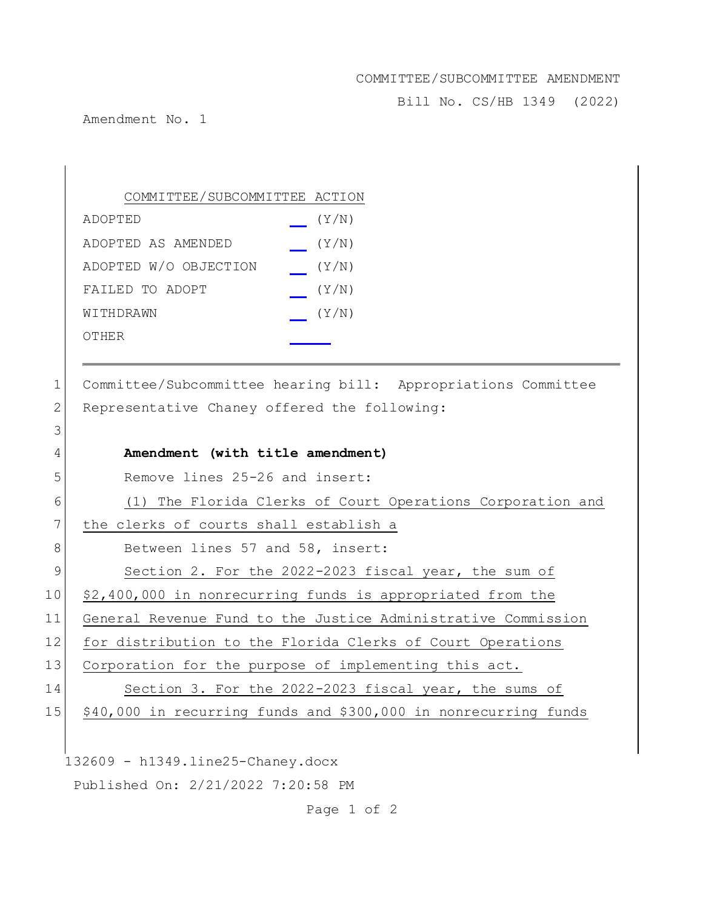## COMMITTEE/SUBCOMMITTEE AMENDMENT

Bill No. CS/HB 1349 (2022)

Amendment No. 1

| COMMITTEE/SUBCOMMITTEE ACTION |       |
|-------------------------------|-------|
| ADOPTED                       | (Y/N) |
| ADOPTED AS AMENDED            | (Y/N) |
| ADOPTED W/O OBJECTION         | (Y/N) |
| FAILED TO ADOPT               | (Y/N) |
| WITHDRAWN                     | (Y/N) |
| OTHER                         |       |

1 Committee/Subcommittee hearing bill: Appropriations Committee 2 Representative Chaney offered the following:

| 3              |                                                                 |
|----------------|-----------------------------------------------------------------|
| 4              | Amendment (with title amendment)                                |
| 5              | Remove lines 25-26 and insert:                                  |
| 6              | (1) The Florida Clerks of Court Operations Corporation and      |
| 7              | the clerks of courts shall establish a                          |
| 8              | Between lines 57 and 58, insert:                                |
| $\overline{9}$ | Section 2. For the 2022-2023 fiscal year, the sum of            |
| 10             | \$2,400,000 in nonrecurring funds is appropriated from the      |
| 11             | General Revenue Fund to the Justice Administrative Commission   |
| 12             | for distribution to the Florida Clerks of Court Operations      |
| 13             | Corporation for the purpose of implementing this act.           |
| 14             | Section 3. For the 2022-2023 fiscal year, the sums of           |
| 15             | \$40,000 in recurring funds and \$300,000 in nonrecurring funds |
|                |                                                                 |
|                | $132609 - h1349.line 25-Chaney.docx$                            |
|                | Published On: 2/21/2022 7:20:58 PM                              |

Page 1 of 2